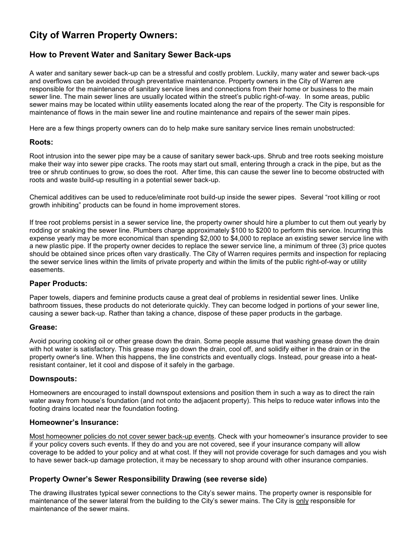# City of Warren Property Owners:

# How to Prevent Water and Sanitary Sewer Back-ups

A water and sanitary sewer back-up can be a stressful and costly problem. Luckily, many water and sewer back-ups and overflows can be avoided through preventative maintenance. Property owners in the City of Warren are responsible for the maintenance of sanitary service lines and connections from their home or business to the main sewer line. The main sewer lines are usually located within the street's public right-of-way. In some areas, public sewer mains may be located within utility easements located along the rear of the property. The City is responsible for maintenance of flows in the main sewer line and routine maintenance and repairs of the sewer main pipes.

Here are a few things property owners can do to help make sure sanitary service lines remain unobstructed:

#### Roots:

Root intrusion into the sewer pipe may be a cause of sanitary sewer back-ups. Shrub and tree roots seeking moisture make their way into sewer pipe cracks. The roots may start out small, entering through a crack in the pipe, but as the tree or shrub continues to grow, so does the root. After time, this can cause the sewer line to become obstructed with roots and waste build-up resulting in a potential sewer back-up.

Chemical additives can be used to reduce/eliminate root build-up inside the sewer pipes. Several "root killing or root growth inhibiting" products can be found in home improvement stores.

If tree root problems persist in a sewer service line, the property owner should hire a plumber to cut them out yearly by rodding or snaking the sewer line. Plumbers charge approximately \$100 to \$200 to perform this service. Incurring this expense yearly may be more economical than spending \$2,000 to \$4,000 to replace an existing sewer service line with a new plastic pipe. If the property owner decides to replace the sewer service line, a minimum of three (3) price quotes should be obtained since prices often vary drastically. The City of Warren requires permits and inspection for replacing the sewer service lines within the limits of private property and within the limits of the public right-of-way or utility easements.

## Paper Products:

Paper towels, diapers and feminine products cause a great deal of problems in residential sewer lines. Unlike bathroom tissues, these products do not deteriorate quickly. They can become lodged in portions of your sewer line, causing a sewer back-up. Rather than taking a chance, dispose of these paper products in the garbage.

#### Grease:

Avoid pouring cooking oil or other grease down the drain. Some people assume that washing grease down the drain with hot water is satisfactory. This grease may go down the drain, cool off, and solidify either in the drain or in the property owner's line. When this happens, the line constricts and eventually clogs. Instead, pour grease into a heatresistant container, let it cool and dispose of it safely in the garbage.

#### Downspouts:

Homeowners are encouraged to install downspout extensions and position them in such a way as to direct the rain water away from house's foundation (and not onto the adjacent property). This helps to reduce water inflows into the footing drains located near the foundation footing.

# Homeowner's Insurance:

Most homeowner policies do not cover sewer back-up events. Check with your homeowner's insurance provider to see if your policy covers such events. If they do and you are not covered, see if your insurance company will allow coverage to be added to your policy and at what cost. If they will not provide coverage for such damages and you wish to have sewer back-up damage protection, it may be necessary to shop around with other insurance companies.

## Property Owner's Sewer Responsibility Drawing (see reverse side)

The drawing illustrates typical sewer connections to the City's sewer mains. The property owner is responsible for maintenance of the sewer lateral from the building to the City's sewer mains. The City is only responsible for maintenance of the sewer mains.